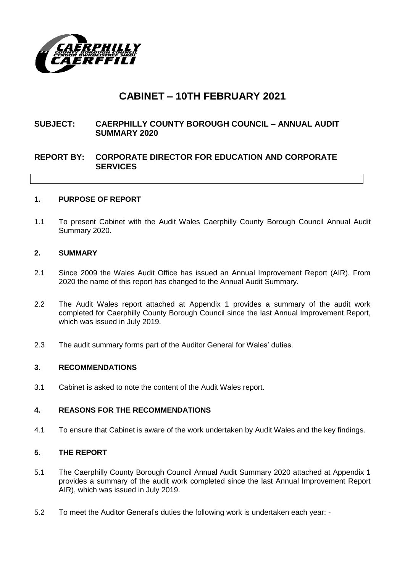

# **CABINET – 10TH FEBRUARY 2021**

# **SUBJECT: CAERPHILLY COUNTY BOROUGH COUNCIL – ANNUAL AUDIT SUMMARY 2020**

# **REPORT BY: CORPORATE DIRECTOR FOR EDUCATION AND CORPORATE SERVICES**

#### **1. PURPOSE OF REPORT**

1.1 To present Cabinet with the Audit Wales Caerphilly County Borough Council Annual Audit Summary 2020.

#### **2. SUMMARY**

- 2.1 Since 2009 the Wales Audit Office has issued an Annual Improvement Report (AIR). From 2020 the name of this report has changed to the Annual Audit Summary.
- 2.2 The Audit Wales report attached at Appendix 1 provides a summary of the audit work completed for Caerphilly County Borough Council since the last Annual Improvement Report, which was issued in July 2019.
- 2.3 The audit summary forms part of the Auditor General for Wales' duties.

#### **3. RECOMMENDATIONS**

3.1 Cabinet is asked to note the content of the Audit Wales report.

#### **4. REASONS FOR THE RECOMMENDATIONS**

4.1 To ensure that Cabinet is aware of the work undertaken by Audit Wales and the key findings.

#### **5. THE REPORT**

- 5.1 The Caerphilly County Borough Council Annual Audit Summary 2020 attached at Appendix 1 provides a summary of the audit work completed since the last Annual Improvement Report AIR), which was issued in July 2019.
- 5.2 To meet the Auditor General's duties the following work is undertaken each year: -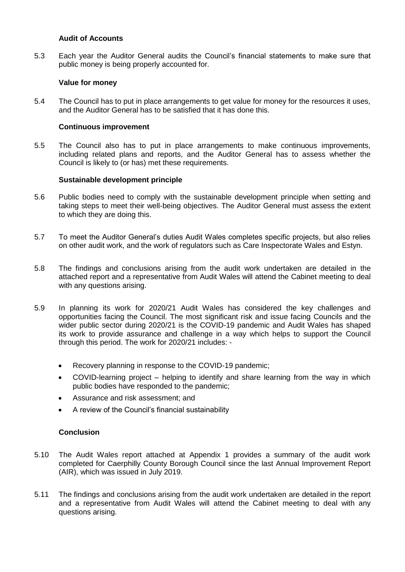#### **Audit of Accounts**

5.3 Each year the Auditor General audits the Council's financial statements to make sure that public money is being properly accounted for.

## **Value for money**

5.4 The Council has to put in place arrangements to get value for money for the resources it uses, and the Auditor General has to be satisfied that it has done this.

## **Continuous improvement**

5.5 The Council also has to put in place arrangements to make continuous improvements, including related plans and reports, and the Auditor General has to assess whether the Council is likely to (or has) met these requirements.

#### **Sustainable development principle**

- 5.6 Public bodies need to comply with the sustainable development principle when setting and taking steps to meet their well-being objectives. The Auditor General must assess the extent to which they are doing this.
- 5.7 To meet the Auditor General's duties Audit Wales completes specific projects, but also relies on other audit work, and the work of regulators such as Care Inspectorate Wales and Estyn.
- 5.8 The findings and conclusions arising from the audit work undertaken are detailed in the attached report and a representative from Audit Wales will attend the Cabinet meeting to deal with any questions arising.
- 5.9 In planning its work for 2020/21 Audit Wales has considered the key challenges and opportunities facing the Council. The most significant risk and issue facing Councils and the wider public sector during 2020/21 is the COVID-19 pandemic and Audit Wales has shaped its work to provide assurance and challenge in a way which helps to support the Council through this period. The work for 2020/21 includes: -
	- Recovery planning in response to the COVID-19 pandemic;
	- COVID-learning project helping to identify and share learning from the way in which public bodies have responded to the pandemic;
	- Assurance and risk assessment; and
	- A review of the Council's financial sustainability

#### **Conclusion**

- 5.10 The Audit Wales report attached at Appendix 1 provides a summary of the audit work completed for Caerphilly County Borough Council since the last Annual Improvement Report (AIR), which was issued in July 2019.
- 5.11 The findings and conclusions arising from the audit work undertaken are detailed in the report and a representative from Audit Wales will attend the Cabinet meeting to deal with any questions arising.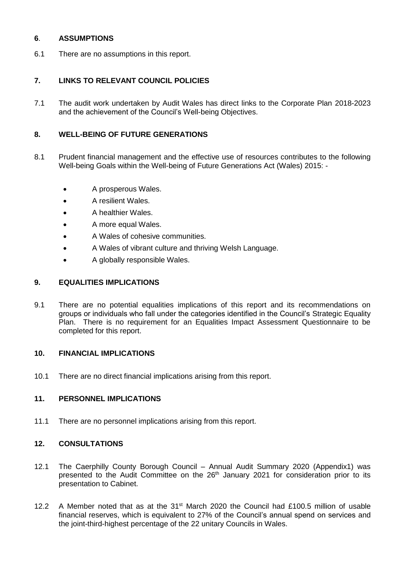## **6**. **ASSUMPTIONS**

6.1 There are no assumptions in this report.

# **7. LINKS TO RELEVANT COUNCIL POLICIES**

7.1 The audit work undertaken by Audit Wales has direct links to the Corporate Plan 2018-2023 and the achievement of the Council's Well-being Objectives.

# **8. WELL-BEING OF FUTURE GENERATIONS**

- 8.1 Prudent financial management and the effective use of resources contributes to the following Well-being Goals within the Well-being of Future Generations Act (Wales) 2015: -
	- A prosperous Wales.
	- A resilient Wales.
	- A healthier Wales.
	- A more equal Wales.
	- A Wales of cohesive communities.
	- A Wales of vibrant culture and thriving Welsh Language.
	- A globally responsible Wales.

#### **9. EQUALITIES IMPLICATIONS**

9.1 There are no potential equalities implications of this report and its recommendations on groups or individuals who fall under the categories identified in the Council's Strategic Equality Plan. There is no requirement for an Equalities Impact Assessment Questionnaire to be completed for this report.

#### **10. FINANCIAL IMPLICATIONS**

10.1 There are no direct financial implications arising from this report.

## **11. PERSONNEL IMPLICATIONS**

11.1 There are no personnel implications arising from this report.

# **12. CONSULTATIONS**

- 12.1 The Caerphilly County Borough Council Annual Audit Summary 2020 (Appendix1) was presented to the Audit Committee on the 26<sup>th</sup> January 2021 for consideration prior to its presentation to Cabinet.
- 12.2 A Member noted that as at the 31<sup>st</sup> March 2020 the Council had £100.5 million of usable financial reserves, which is equivalent to 27% of the Council's annual spend on services and the joint-third-highest percentage of the 22 unitary Councils in Wales.